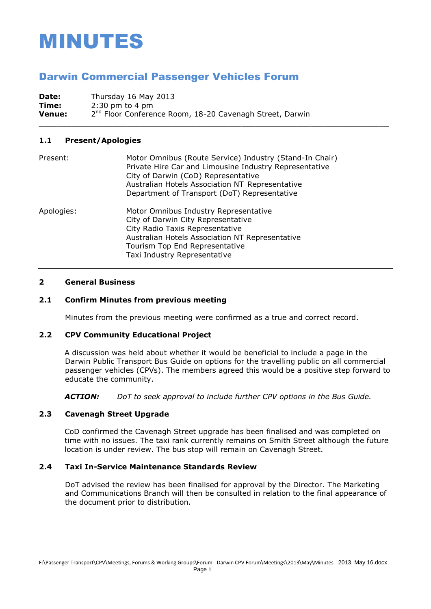# MINUTES

# Darwin Commercial Passenger Vehicles Forum

**Date:** Thursday 16 May 2013 **Time:** 2:30 pm to 4 pm **Venue:** 2 2<sup>nd</sup> Floor Conference Room, 18-20 Cavenagh Street, Darwin

### **1.1 Present/Apologies**

| Present:   | Motor Omnibus (Route Service) Industry (Stand-In Chair)<br>Private Hire Car and Limousine Industry Representative<br>City of Darwin (CoD) Representative<br>Australian Hotels Association NT Representative<br>Department of Transport (DoT) Representative |
|------------|-------------------------------------------------------------------------------------------------------------------------------------------------------------------------------------------------------------------------------------------------------------|
| Apologies: | Motor Omnibus Industry Representative<br>City of Darwin City Representative<br>City Radio Taxis Representative<br>Australian Hotels Association NT Representative<br>Tourism Top End Representative<br>Taxi Industry Representative                         |

#### **2 General Business**

### **2.1 Confirm Minutes from previous meeting**

Minutes from the previous meeting were confirmed as a true and correct record.

\_\_\_\_\_\_\_\_\_\_\_\_\_\_\_\_\_\_\_\_\_\_\_\_\_\_\_\_\_\_\_\_\_\_\_\_\_\_\_\_\_\_\_\_\_\_\_\_\_\_\_\_\_\_\_\_\_\_\_\_\_\_\_\_\_\_\_\_\_\_\_\_\_\_\_\_

# **2.2 CPV Community Educational Project**

A discussion was held about whether it would be beneficial to include a page in the Darwin Public Transport Bus Guide on options for the travelling public on all commercial passenger vehicles (CPVs). The members agreed this would be a positive step forward to educate the community.

*ACTION: DoT to seek approval to include further CPV options in the Bus Guide.*

# **2.3 Cavenagh Street Upgrade**

CoD confirmed the Cavenagh Street upgrade has been finalised and was completed on time with no issues. The taxi rank currently remains on Smith Street although the future location is under review. The bus stop will remain on Cavenagh Street.

### **2.4 Taxi In-Service Maintenance Standards Review**

DoT advised the review has been finalised for approval by the Director. The Marketing and Communications Branch will then be consulted in relation to the final appearance of the document prior to distribution.